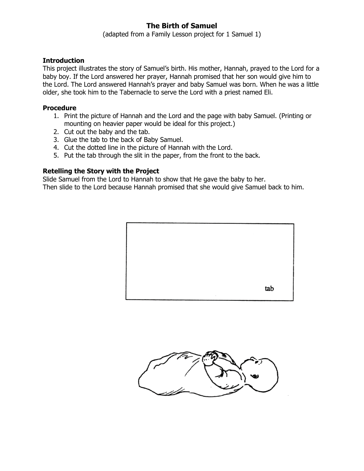## **The Birth of Samuel**

(adapted from a Family Lesson project for 1 Samuel 1)

## **Introduction**

This project illustrates the story of Samuel's birth. His mother, Hannah, prayed to the Lord for a baby boy. If the Lord answered her prayer, Hannah promised that her son would give him to the Lord. The Lord answered Hannah's prayer and baby Samuel was born. When he was a little older, she took him to the Tabernacle to serve the Lord with a priest named Eli.

## **Procedure**

- 1. Print the picture of Hannah and the Lord and the page with baby Samuel. (Printing or mounting on heavier paper would be ideal for this project.)
- 2. Cut out the baby and the tab.
- 3. Glue the tab to the back of Baby Samuel.
- 4. Cut the dotted line in the picture of Hannah with the Lord.
- 5. Put the tab through the slit in the paper, from the front to the back.

## **Retelling the Story with the Project**

Slide Samuel from the Lord to Hannah to show that He gave the baby to her. Then slide to the Lord because Hannah promised that she would give Samuel back to him.